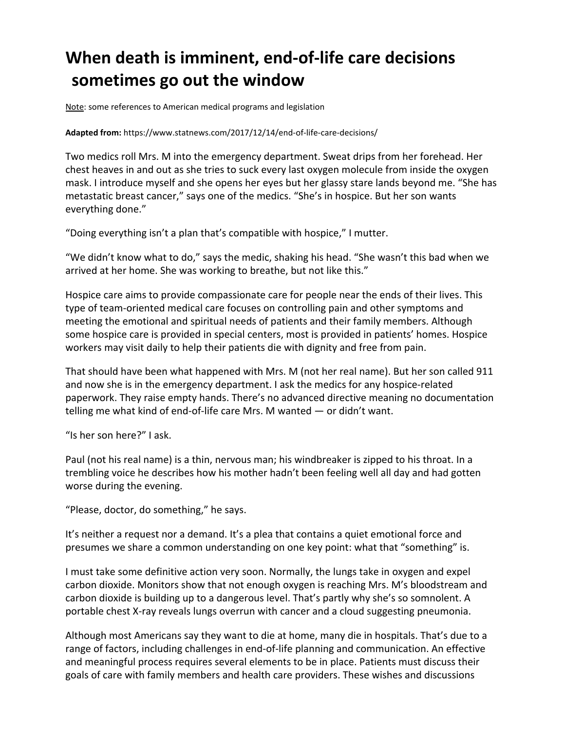## **When death is imminent, end-of-life care decisions sometimes go out the window**

Note: some references to American medical programs and legislation

## **Adapted from:** https://www.statnews.com/2017/12/14/end-of-life-care-decisions/

Two medics roll Mrs. M into the emergency department. Sweat drips from her forehead. Her chest heaves in and out as she tries to suck every last oxygen molecule from inside the oxygen mask. I introduce myself and she opens her eyes but her glassy stare lands beyond me. "She has metastatic breast cancer," says one of the medics. "She's in hospice. But her son wants everything done."

"Doing everything isn't a plan that's compatible with hospice," I mutter.

"We didn't know what to do," says the medic, shaking his head. "She wasn't this bad when we arrived at her home. She was working to breathe, but not like this."

Hospice care aims to provide compassionate care for people near the ends of their lives. This type of team-oriented medical care focuses on controlling pain and other symptoms and meeting the emotional and spiritual needs of patients and their family members. Although some hospice care is provided in special centers, most is provided in patients' homes. Hospice workers may visit daily to help their patients die with dignity and free from pain.

That should have been what happened with Mrs. M (not her real name). But her son called 911 and now she is in the emergency department. I ask the medics for any hospice-related paperwork. They raise empty hands. There's no advanced directive meaning no documentation telling me what kind of end-of-life care Mrs. M wanted — or didn't want.

"Is her son here?" I ask.

Paul (not his real name) is a thin, nervous man; his windbreaker is zipped to his throat. In a trembling voice he describes how his mother hadn't been feeling well all day and had gotten worse during the evening.

"Please, doctor, do something," he says.

It's neither a request nor a demand. It's a plea that contains a quiet emotional force and presumes we share a common understanding on one key point: what that "something" is.

I must take some definitive action very soon. Normally, the lungs take in oxygen and expel carbon dioxide. Monitors show that not enough oxygen is reaching Mrs. M's bloodstream and carbon dioxide is building up to a dangerous level. That's partly why she's so somnolent. A portable chest X-ray reveals lungs overrun with cancer and a cloud suggesting pneumonia.

Although most Americans say they want to die at home, many die in hospitals. That's due to a range of factors, including challenges in end-of-life planning and communication. An effective and meaningful process requires several elements to be in place. Patients must discuss their goals of care with family members and health care providers. These wishes and discussions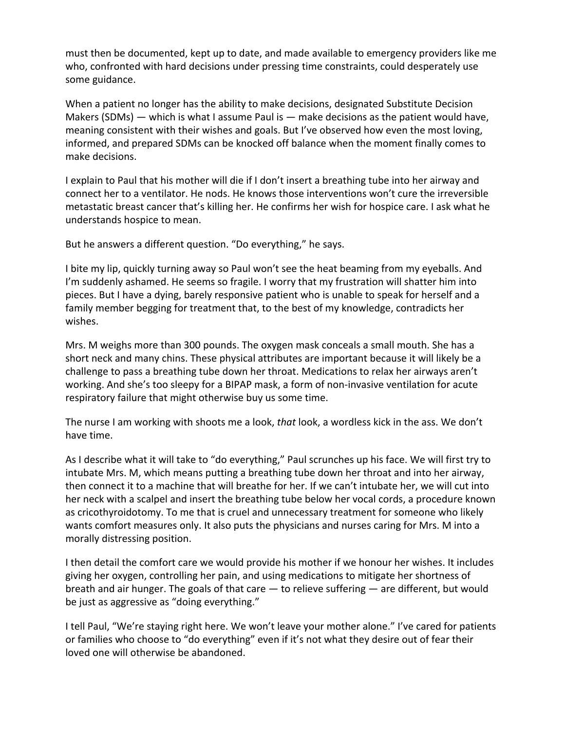must then be documented, kept up to date, and made available to emergency providers like me who, confronted with hard decisions under pressing time constraints, could desperately use some guidance.

When a patient no longer has the ability to make decisions, designated Substitute Decision Makers (SDMs)  $-$  which is what I assume Paul is  $-$  make decisions as the patient would have, meaning consistent with their wishes and goals. But I've observed how even the most loving, informed, and prepared SDMs can be knocked off balance when the moment finally comes to make decisions.

I explain to Paul that his mother will die if I don't insert a breathing tube into her airway and connect her to a ventilator. He nods. He knows those interventions won't cure the irreversible metastatic breast cancer that's killing her. He confirms her wish for hospice care. I ask what he understands hospice to mean.

But he answers a different question. "Do everything," he says.

I bite my lip, quickly turning away so Paul won't see the heat beaming from my eyeballs. And I'm suddenly ashamed. He seems so fragile. I worry that my frustration will shatter him into pieces. But I have a dying, barely responsive patient who is unable to speak for herself and a family member begging for treatment that, to the best of my knowledge, contradicts her wishes.

Mrs. M weighs more than 300 pounds. The oxygen mask conceals a small mouth. She has a short neck and many chins. These physical attributes are important because it will likely be a challenge to pass a breathing tube down her throat. Medications to relax her airways aren't working. And she's too sleepy for a BIPAP mask, a form of non-invasive ventilation for acute respiratory failure that might otherwise buy us some time.

The nurse I am working with shoots me a look, *that* look, a wordless kick in the ass. We don't have time.

As I describe what it will take to "do everything," Paul scrunches up his face. We will first try to intubate Mrs. M, which means putting a breathing tube down her throat and into her airway, then connect it to a machine that will breathe for her. If we can't intubate her, we will cut into her neck with a scalpel and insert the breathing tube below her vocal cords, a procedure known as cricothyroidotomy. To me that is cruel and unnecessary treatment for someone who likely wants comfort measures only. It also puts the physicians and nurses caring for Mrs. M into a morally distressing position.

I then detail the comfort care we would provide his mother if we honour her wishes. It includes giving her oxygen, controlling her pain, and using medications to mitigate her shortness of breath and air hunger. The goals of that care — to relieve suffering — are different, but would be just as aggressive as "doing everything."

I tell Paul, "We're staying right here. We won't leave your mother alone." I've cared for patients or families who choose to "do everything" even if it's not what they desire out of fear their loved one will otherwise be abandoned.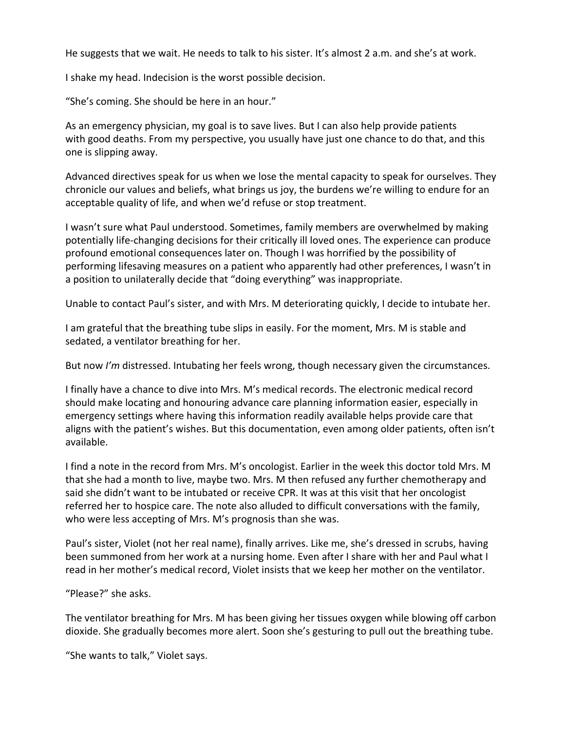He suggests that we wait. He needs to talk to his sister. It's almost 2 a.m. and she's at work.

I shake my head. Indecision is the worst possible decision.

"She's coming. She should be here in an hour."

As an emergency physician, my goal is to save lives. But I can also help provide patients with good deaths. From my perspective, you usually have just one chance to do that, and this one is slipping away.

Advanced directives speak for us when we lose the mental capacity to speak for ourselves. They chronicle our values and beliefs, what brings us joy, the burdens we're willing to endure for an acceptable quality of life, and when we'd refuse or stop treatment.

I wasn't sure what Paul understood. Sometimes, family members are overwhelmed by making potentially life-changing decisions for their critically ill loved ones. The experience can produce profound emotional consequences later on. Though I was horrified by the possibility of performing lifesaving measures on a patient who apparently had other preferences, I wasn't in a position to unilaterally decide that "doing everything" was inappropriate.

Unable to contact Paul's sister, and with Mrs. M deteriorating quickly, I decide to intubate her.

I am grateful that the breathing tube slips in easily. For the moment, Mrs. M is stable and sedated, a ventilator breathing for her.

But now *I'm* distressed. Intubating her feels wrong, though necessary given the circumstances.

I finally have a chance to dive into Mrs. M's medical records. The electronic medical record should make locating and honouring advance care planning information easier, especially in emergency settings where having this information readily available helps provide care that aligns with the patient's wishes. But this documentation, even among older patients, often isn't available.

I find a note in the record from Mrs. M's oncologist. Earlier in the week this doctor told Mrs. M that she had a month to live, maybe two. Mrs. M then refused any further chemotherapy and said she didn't want to be intubated or receive CPR. It was at this visit that her oncologist referred her to hospice care. The note also alluded to difficult conversations with the family, who were less accepting of Mrs. M's prognosis than she was.

Paul's sister, Violet (not her real name), finally arrives. Like me, she's dressed in scrubs, having been summoned from her work at a nursing home. Even after I share with her and Paul what I read in her mother's medical record, Violet insists that we keep her mother on the ventilator.

"Please?" she asks.

The ventilator breathing for Mrs. M has been giving her tissues oxygen while blowing off carbon dioxide. She gradually becomes more alert. Soon she's gesturing to pull out the breathing tube.

"She wants to talk," Violet says.